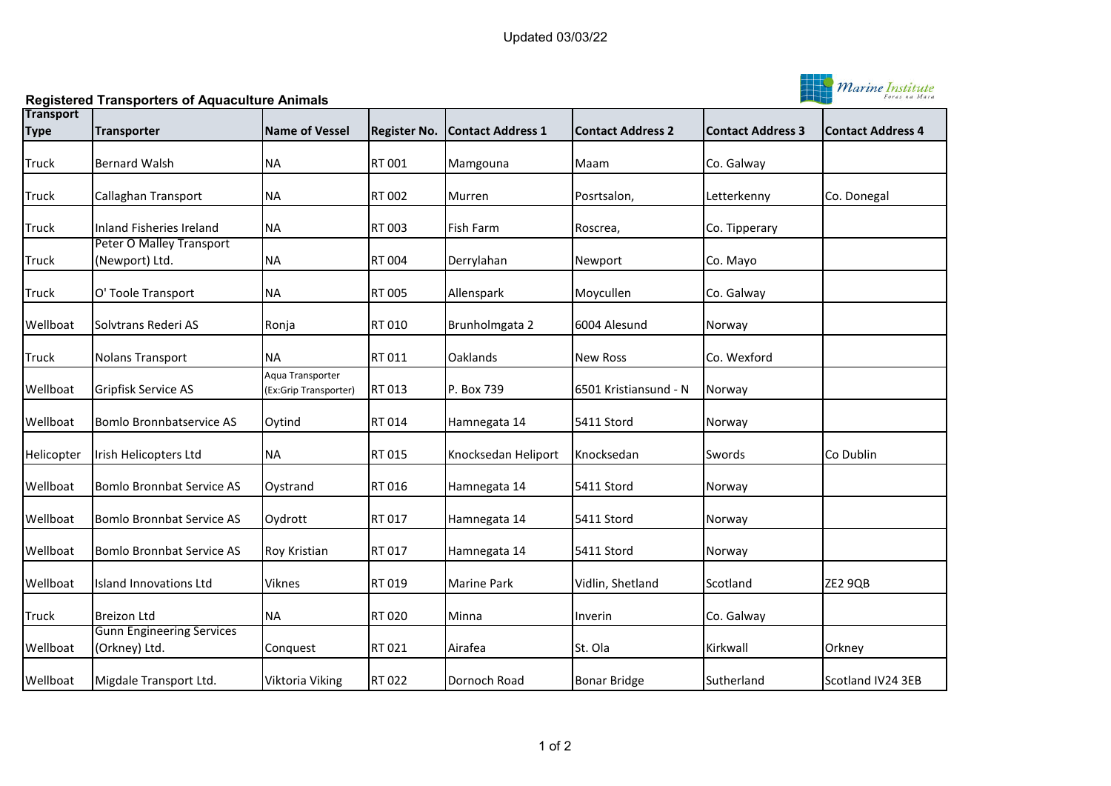

**Registered Transporters of Aquaculture Animals**

| <b>Transport</b> |                                                   |                                           |                     |                          |                          |                          |                          |
|------------------|---------------------------------------------------|-------------------------------------------|---------------------|--------------------------|--------------------------|--------------------------|--------------------------|
| <b>Type</b>      | <b>Transporter</b>                                | <b>Name of Vessel</b>                     | <b>Register No.</b> | <b>Contact Address 1</b> | <b>Contact Address 2</b> | <b>Contact Address 3</b> | <b>Contact Address 4</b> |
| <b>Truck</b>     | <b>Bernard Walsh</b>                              | <b>NA</b>                                 | RT 001              | Mamgouna                 | Maam                     | Co. Galway               |                          |
| <b>Truck</b>     | Callaghan Transport                               | <b>NA</b>                                 | RT 002              | Murren                   | Posrtsalon,              | Letterkenny              | Co. Donegal              |
| <b>Truck</b>     | Inland Fisheries Ireland                          | <b>NA</b>                                 | RT 003              | Fish Farm                | Roscrea,                 | Co. Tipperary            |                          |
| <b>Truck</b>     | <b>Peter O Malley Transport</b><br>(Newport) Ltd. | <b>NA</b>                                 | RT 004              | Derrylahan               | Newport                  | Co. Mayo                 |                          |
| <b>Truck</b>     | O' Toole Transport                                | <b>NA</b>                                 | RT 005              | Allenspark               | Moycullen                | Co. Galway               |                          |
| Wellboat         | Solvtrans Rederi AS                               | Ronja                                     | RT 010              | Brunholmgata 2           | 6004 Alesund             | Norway                   |                          |
| <b>Truck</b>     | <b>Nolans Transport</b>                           | <b>NA</b>                                 | RT 011              | Oaklands                 | <b>New Ross</b>          | Co. Wexford              |                          |
| Wellboat         | Gripfisk Service AS                               | Agua Transporter<br>(Ex:Grip Transporter) | RT 013              | P. Box 739               | 6501 Kristiansund - N    | Norway                   |                          |
| Wellboat         | <b>Bomlo Bronnbatservice AS</b>                   | Oytind                                    | RT 014              | Hamnegata 14             | 5411 Stord               | Norway                   |                          |
| Helicopter       | Irish Helicopters Ltd                             | <b>NA</b>                                 | RT 015              | Knocksedan Heliport      | Knocksedan               | Swords                   | Co Dublin                |
| Wellboat         | <b>Bomlo Bronnbat Service AS</b>                  | Oystrand                                  | RT 016              | Hamnegata 14             | 5411 Stord               | Norway                   |                          |
| Wellboat         | <b>Bomlo Bronnbat Service AS</b>                  | Oydrott                                   | RT 017              | Hamnegata 14             | 5411 Stord               | Norway                   |                          |
| Wellboat         | <b>Bomlo Bronnbat Service AS</b>                  | Roy Kristian                              | RT 017              | Hamnegata 14             | 5411 Stord               | Norway                   |                          |
| Wellboat         | Island Innovations Ltd                            | Viknes                                    | RT 019              | Marine Park              | Vidlin, Shetland         | Scotland                 | ZE2 9QB                  |
| Truck            | <b>Breizon Ltd</b>                                | <b>NA</b>                                 | RT 020              | Minna                    | Inverin                  | Co. Galway               |                          |
| Wellboat         | <b>Gunn Engineering Services</b><br>(Orkney) Ltd. | Conquest                                  | RT 021              | Airafea                  | St. Ola                  | Kirkwall                 | Orkney                   |
| Wellboat         | Migdale Transport Ltd.                            | Viktoria Viking                           | RT 022              | Dornoch Road             | <b>Bonar Bridge</b>      | Sutherland               | Scotland IV24 3EB        |